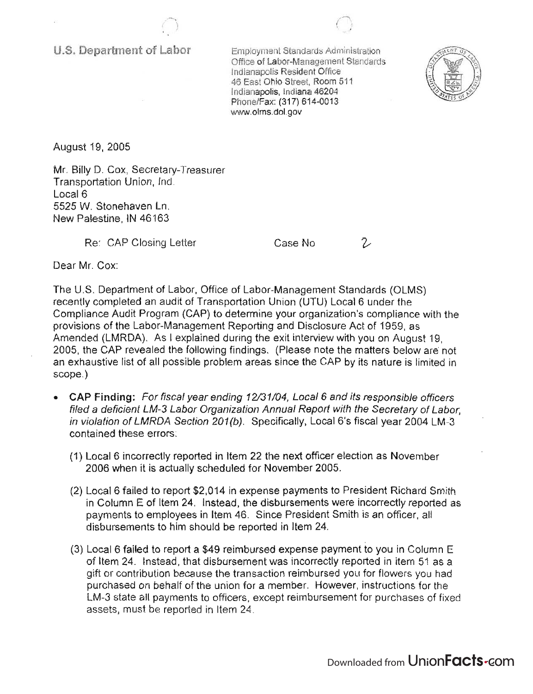U.S. Department of Labor

Employment Standards Administration Office of Labor-Management Standards Indianapolis Resident Office 46 East Ohio Street, Room 511 Indianapolis, Indiana 46204 Phone/Fax: (317) 614-0013 www.olms.dol.gov

 $\bigcap$ 



August 19, 2005

Mr. Billy D. Cox, Secretary-Treasurer Transportation Union, Ind. Local 6 5525 W. Stonehaven Ln. New Palestine, IN 46163

Re: CAP Closing Letter

Case No

2

Dear Mr. Cox:

The U.S. Department of Labor, Office of Labor-Management Standards (OLMS) recently completed an audit of Transportation Union (UTU) Local 6 under the Compliance Audit Program (CAP) to determine your organization's compliance with the provisions of the Labor-Management Reporting and Disclosure Act of 1959, as Amended (LMRDA). As I explained during the exit interview with you on August 19, 2005, the CAP revealed the following findings . (Please note the matters below are not an exhaustive list of all possible problem areas since the CAP by its nature is limited in scope.)

- CAP Finding: For fiscal year ending 12/31/04, Local 6 and its responsible officers filed a deficient LM-3 Labor Organization Annual Report with the Secretary of Labor, in violation of LMRDA Section 201(b). Specifically, Local 6's fiscal year 2004 LM-3 contained these errors:
	- (1) Local 6 incorrectly reported in Item 22 the next officer election as November 2006 when it is actually scheduled for November 2005.
	- (2) Local 6 failed to report \$2,014 in expense payments to President Richard Smith in Column E of Item 24. Instead, the disbursements were incorrectly reported as payments to employees in Item 46. Since President Smith is an officer, all disbursements to him should be reported in Item 24.
	- (3) Local 6 failed to report a \$49 reimbursed expense payment to you in Column E of Item 24. Instead, that disbursement was incorrectly reported in item 51 as a gift or contribution because the transaction reimbursed you for flowers you had purchased on behalf of the union for a member. However, instructions for the LM-3 state all payments to officers, except reimbursement for purchases of fixed assets, must be reported in Item 24.